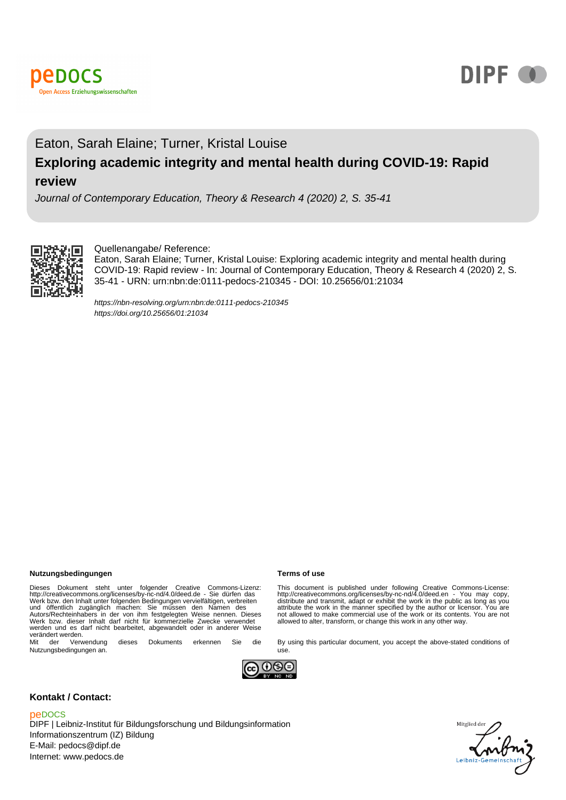



# Eaton, Sarah Elaine; Turner, Kristal Louise **Exploring academic integrity and mental health during COVID-19: Rapid review**

Journal of Contemporary Education, Theory & Research 4 (2020) 2, S. 35-41



### Quellenangabe/ Reference:

Eaton, Sarah Elaine; Turner, Kristal Louise: Exploring academic integrity and mental health during COVID-19: Rapid review - In: Journal of Contemporary Education, Theory & Research 4 (2020) 2, S. 35-41 - URN: urn:nbn:de:0111-pedocs-210345 - DOI: 10.25656/01:21034

<https://nbn-resolving.org/urn:nbn:de:0111-pedocs-210345> <https://doi.org/10.25656/01:21034>

#### **Nutzungsbedingungen Terms of use**

Dieses Dokument steht unter folgender Creative Commons-Lizenz:<br>http://creativecommons.org/licenses/by-nc-nd/4.0/deed.de - Sie dürfen das<br>Werk bzw. den Inhalt unter folgenden Bedingungen vervielfältigen, verbreiten<br>und öffe werden und es darf nicht bearbeitet, abgewandelt oder in anderer Weise verändert werden.<br>
Mit der Verwendung

dieses Dokuments erkennen Sie die Nutzungsbedingungen an.

This document is published under following Creative Commons-License:<br>http://creativecommons.org/licenses/by-nc-nd/4.0/deed.en - You may copy,<br>distribute and transmit, adapt or exhibit the work in the public as long as you<br> not allowed to make commercial use of the work or its contents. You are not allowed to alter, transform, or change this work in any other way.

By using this particular document, you accept the above-stated conditions of



use.

#### **Kontakt / Contact:**

#### peDOCS

DIPF | Leibniz-Institut für Bildungsforschung und Bildungsinformation Informationszentrum (IZ) Bildung E-Mail: pedocs@dipf.de Internet: www.pedocs.de

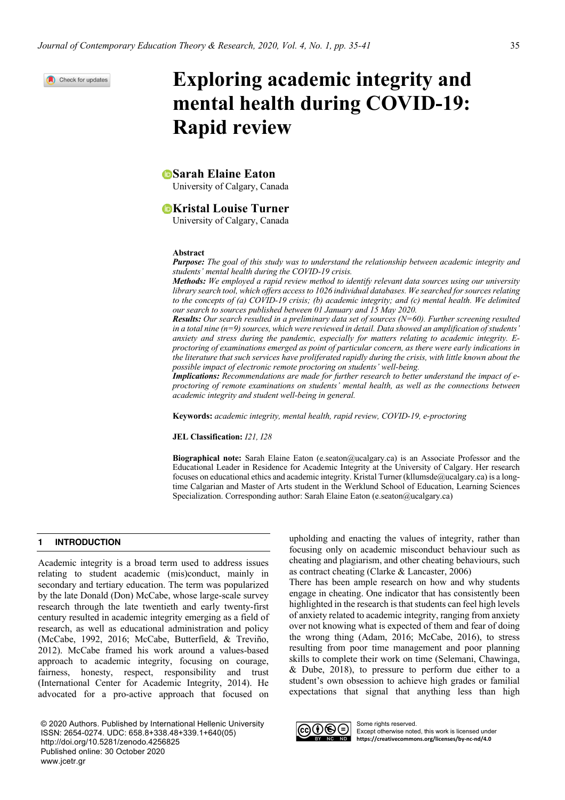Check for updates

# **Exploring academic integrity and mental health during COVID-19: Rapid review**

## *Sarah Elaine Eaton*

University of Calgary, Canada

### **EX** External Louise Turner

University of Calgary, Canada

#### **Abstract**

*Purpose: The goal of this study was to understand the relationship between academic integrity and students' mental health during the COVID-19 crisis.* 

*Methods: We employed a rapid review method to identify relevant data sources using our university library search tool, which offers access to 1026 individual databases. We searched for sources relating to the concepts of (a) COVID-19 crisis; (b) academic integrity; and (c) mental health. We delimited our search to sources published between 01 January and 15 May 2020.*

*Results: Our search resulted in a preliminary data set of sources (N=60). Further screening resulted in a total nine (n=9) sources, which were reviewed in detail. Data showed an amplification of students' anxiety and stress during the pandemic, especially for matters relating to academic integrity. Eproctoring of examinations emerged as point of particular concern, as there were early indications in the literature that such services have proliferated rapidly during the crisis, with little known about the possible impact of electronic remote proctoring on students' well-being.*

*Implications: Recommendations are made for further research to better understand the impact of eproctoring of remote examinations on students' mental health, as well as the connections between academic integrity and student well-being in general.* 

**Keywords:** *academic integrity, mental health, rapid review, COVID-19, e-proctoring*

#### **JEL Classification:** *I21, I28*

**Biographical note:** Sarah Elaine Eaton (e.seaton@ucalgary.ca) is an Associate Professor and the Educational Leader in Residence for Academic Integrity at the University of Calgary. Her research focuses on educational ethics and academic integrity. Kristal Turner (kllumsde@ucalgary.ca) is a longtime Calgarian and Master of Arts student in the Werklund School of Education, Learning Sciences Specialization. Corresponding author: Sarah Elaine Eaton (e.seaton@ucalgary.ca)

#### **1 INTRODUCTION**

Academic integrity is a broad term used to address issues relating to student academic (mis)conduct, mainly in secondary and tertiary education. The term was popularized by the late Donald (Don) McCabe, whose large-scale survey research through the late twentieth and early twenty-first century resulted in academic integrity emerging as a field of research, as well as educational administration and policy (McCabe, 1992, 2016; McCabe, Butterfield, & Treviño, 2012). McCabe framed his work around a values-based approach to academic integrity, focusing on courage, fairness, honesty, respect, responsibility and trust (International Center for Academic Integrity, 2014). He advocated for a pro-active approach that focused on

© 2020 Authors. Published by International Hellenic University ISSN: 2654-0274. UDC: 658.8+338.48+339.1+640(05) [http://doi.org/10.5281/zenodo.42568](http://doi.org/10.5281/zenodo.4256825)25 Published online: 30 October 2020 www.jcetr.gr

upholding and enacting the values of integrity, rather than focusing only on academic misconduct behaviour such as cheating and plagiarism, and other cheating behaviours, such as contract cheating (Clarke & Lancaster, 2006)

There has been ample research on how and why students engage in cheating. One indicator that has consistently been highlighted in the research is that students can feel high levels of anxiety related to academic integrity, ranging from anxiety over not knowing what is expected of them and fear of doing the wrong thing (Adam, 2016; McCabe, 2016), to stress resulting from poor time management and poor planning skills to complete their work on time (Selemani, Chawinga, & Dube, 2018), to pressure to perform due either to a student's own obsession to achieve high grades or familial expectations that signal that anything less than high



Some rights reserved. Except otherwise noted, this work is licensed under **https://creativecommons.org/licenses/by-nc-nd/4.0**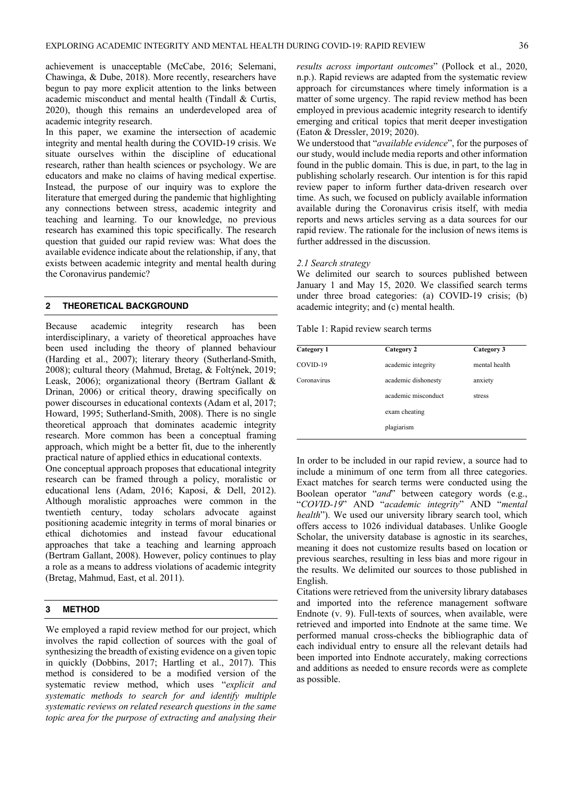achievement is unacceptable (McCabe, 2016; Selemani, Chawinga, & Dube, 2018). More recently, researchers have begun to pay more explicit attention to the links between academic misconduct and mental health (Tindall & Curtis, 2020), though this remains an underdeveloped area of academic integrity research.

In this paper, we examine the intersection of academic integrity and mental health during the COVID-19 crisis. We situate ourselves within the discipline of educational research, rather than health sciences or psychology. We are educators and make no claims of having medical expertise. Instead, the purpose of our inquiry was to explore the literature that emerged during the pandemic that highlighting any connections between stress, academic integrity and teaching and learning. To our knowledge, no previous research has examined this topic specifically. The research question that guided our rapid review was: What does the available evidence indicate about the relationship, if any, that exists between academic integrity and mental health during the Coronavirus pandemic?

#### **2 THEORETICAL BACKGROUND**

Because academic integrity research has been interdisciplinary, a variety of theoretical approaches have been used including the theory of planned behaviour (Harding et al., 2007); literary theory (Sutherland-Smith, 2008); cultural theory (Mahmud, Bretag, & Foltýnek, 2019; Leask, 2006); organizational theory (Bertram Gallant & Drinan, 2006) or critical theory, drawing specifically on power discourses in educational contexts (Adam et al, 2017; Howard, 1995; Sutherland-Smith, 2008). There is no single theoretical approach that dominates academic integrity research. More common has been a conceptual framing approach, which might be a better fit, due to the inherently practical nature of applied ethics in educational contexts.

One conceptual approach proposes that educational integrity research can be framed through a policy, moralistic or educational lens (Adam, 2016; Kaposi, & Dell, 2012). Although moralistic approaches were common in the twentieth century, today scholars advocate against positioning academic integrity in terms of moral binaries or ethical dichotomies and instead favour educational approaches that take a teaching and learning approach (Bertram Gallant, 2008). However, policy continues to play a role as a means to address violations of academic integrity (Bretag, Mahmud, East, et al. 2011).

#### **3 METHOD**

We employed a rapid review method for our project, which involves the rapid collection of sources with the goal of synthesizing the breadth of existing evidence on a given topic in quickly (Dobbins, 2017; Hartling et al., 2017). This method is considered to be a modified version of the systematic review method, which uses "*explicit and systematic methods to search for and identify multiple systematic reviews on related research questions in the same topic area for the purpose of extracting and analysing their*

*results across important outcomes*" (Pollock et al., 2020, n.p.). Rapid reviews are adapted from the systematic review approach for circumstances where timely information is a matter of some urgency. The rapid review method has been employed in previous academic integrity research to identify emerging and critical topics that merit deeper investigation (Eaton & Dressler, 2019; 2020).

We understood that "*available evidence*", for the purposes of our study, would include media reports and other information found in the public domain. This is due, in part, to the lag in publishing scholarly research. Our intention is for this rapid review paper to inform further data-driven research over time. As such, we focused on publicly available information available during the Coronavirus crisis itself, with media reports and news articles serving as a data sources for our rapid review. The rationale for the inclusion of news items is further addressed in the discussion.

#### *2.1 Search strategy*

We delimited our search to sources published between January 1 and May 15, 2020. We classified search terms under three broad categories: (a) COVID-19 crisis; (b) academic integrity; and (c) mental health.

Table 1: Rapid review search terms

| Category 1  | Category 2          | Category 3    |  |
|-------------|---------------------|---------------|--|
| COVID-19    | academic integrity  | mental health |  |
| Coronavirus | academic dishonesty | anxiety       |  |
|             | academic misconduct | stress        |  |
|             | exam cheating       |               |  |
|             | plagiarism          |               |  |
|             |                     |               |  |

In order to be included in our rapid review, a source had to include a minimum of one term from all three categories. Exact matches for search terms were conducted using the Boolean operator "*and*" between category words (e.g., "*COVID-19*" AND "*academic integrity*" AND "*mental health*"). We used our university library search tool, which offers access to 1026 individual databases. Unlike Google Scholar, the university database is agnostic in its searches, meaning it does not customize results based on location or previous searches, resulting in less bias and more rigour in the results. We delimited our sources to those published in English.

Citations were retrieved from the university library databases and imported into the reference management software Endnote (v. 9). Full-texts of sources, when available, were retrieved and imported into Endnote at the same time. We performed manual cross-checks the bibliographic data of each individual entry to ensure all the relevant details had been imported into Endnote accurately, making corrections and additions as needed to ensure records were as complete as possible.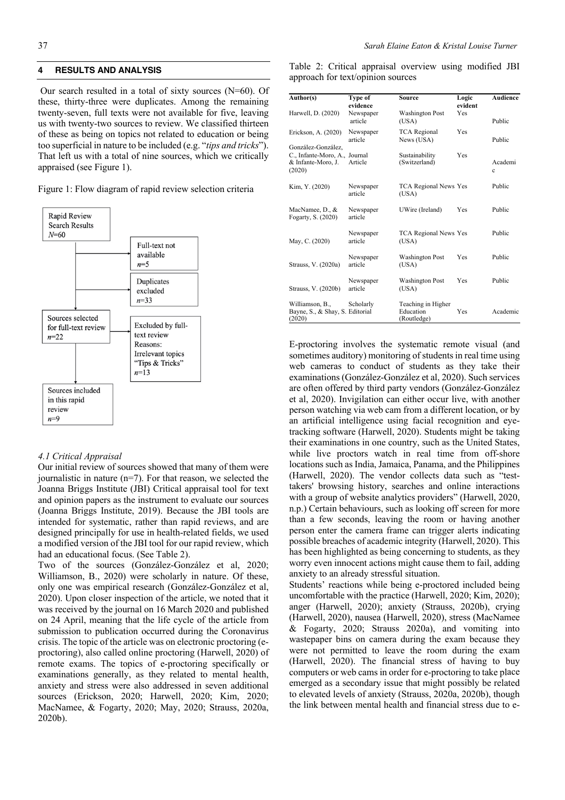#### **4 RESULTS AND ANALYSIS**

Our search resulted in a total of sixty sources (N=60). Of these, thirty-three were duplicates. Among the remaining twenty-seven, full texts were not available for five, leaving us with twenty-two sources to review. We classified thirteen of these as being on topics not related to education or being too superficial in nature to be included (e.g. "*tips and tricks*"). That left us with a total of nine sources, which we critically appraised (see Figure 1).

Figure 1: Flow diagram of rapid review selection criteria



#### *4.1 Critical Appraisal*

Our initial review of sources showed that many of them were journalistic in nature  $(n=7)$ . For that reason, we selected the Joanna Briggs Institute (JBI) Critical appraisal tool for text and opinion papers as the instrument to evaluate our sources (Joanna Briggs Institute, 2019). Because the JBI tools are intended for systematic, rather than rapid reviews, and are designed principally for use in health-related fields, we used a modified version of the JBI tool for our rapid review, which had an educational focus. (See Table 2).

Two of the sources (González-González et al, 2020; Williamson, B., 2020) were scholarly in nature. Of these, only one was empirical research (González-González et al, 2020). Upon closer inspection of the article, we noted that it was received by the journal on 16 March 2020 and published on 24 April, meaning that the life cycle of the article from submission to publication occurred during the Coronavirus crisis. The topic of the article was on electronic proctoring (eproctoring), also called online proctoring (Harwell, 2020) of remote exams. The topics of e-proctoring specifically or examinations generally, as they related to mental health, anxiety and stress were also addressed in seven additional sources (Erickson, 2020; Harwell, 2020; Kim, 2020; MacNamee, & Fogarty, 2020; May, 2020; Strauss, 2020a, 2020b).

Table 2: Critical appraisal overview using modified JBI approach for text/opinion sources

| Author(s)                                                                           | Type of<br>evidence  | <b>Source</b>                                  | Logic<br>evident | <b>Audience</b> |
|-------------------------------------------------------------------------------------|----------------------|------------------------------------------------|------------------|-----------------|
| Harwell, D. (2020)                                                                  | Newspaper<br>article | <b>Washington Post</b><br>(USA)                | <b>Yes</b>       | Public          |
| Erickson, A. (2020)                                                                 | Newspaper<br>article | <b>TCA</b> Regional<br>News (USA)              | <b>Yes</b>       | Public          |
| González-González.<br>C., Infante-Moro, A., Journal<br>& Infante-Moro, J.<br>(2020) | Article              | Sustainability<br>(Switzerland)                | Yes              | Academi<br>Ċ.   |
| Kim, Y. (2020)                                                                      | Newspaper<br>article | <b>TCA Regional News Yes</b><br>(USA)          |                  | Public          |
| MacNamee, D., &<br>Fogarty, S. (2020)                                               | Newspaper<br>article | UWire (Ireland)                                | Yes              | Public          |
| May, C. (2020)                                                                      | Newspaper<br>article | TCA Regional News Yes<br>(USA)                 |                  | Public          |
| Strauss, V. (2020a)                                                                 | Newspaper<br>article | <b>Washington Post</b><br>(USA)                | Yes              | Public          |
| Strauss, V. (2020b)                                                                 | Newspaper<br>article | <b>Washington Post</b><br>(USA)                | Yes              | Public          |
| Williamson, B.,<br>Bayne, S., & Shay, S. Editorial<br>(2020)                        | Scholarly            | Teaching in Higher<br>Education<br>(Routledge) | Yes              | Academic        |

E-proctoring involves the systematic remote visual (and sometimes auditory) monitoring of students in real time using web cameras to conduct of students as they take their examinations (González-González et al, 2020). Such services are often offered by third party vendors (González-González et al, 2020). Invigilation can either occur live, with another person watching via web cam from a different location, or by an artificial intelligence using facial recognition and eyetracking software (Harwell, 2020). Students might be taking their examinations in one country, such as the United States, while live proctors watch in real time from off-shore locations such as India, Jamaica, Panama, and the Philippines (Harwell, 2020). The vendor collects data such as "testtakers' browsing history, searches and online interactions with a group of website analytics providers" (Harwell, 2020, n.p.) Certain behaviours, such as looking off screen for more than a few seconds, leaving the room or having another person enter the camera frame can trigger alerts indicating possible breaches of academic integrity (Harwell, 2020). This has been highlighted as being concerning to students, as they worry even innocent actions might cause them to fail, adding anxiety to an already stressful situation.

Students' reactions while being e-proctored included being uncomfortable with the practice (Harwell, 2020; Kim, 2020); anger (Harwell, 2020); anxiety (Strauss, 2020b), crying (Harwell, 2020), nausea (Harwell, 2020), stress (MacNamee & Fogarty, 2020; Strauss 2020a), and vomiting into wastepaper bins on camera during the exam because they were not permitted to leave the room during the exam (Harwell, 2020). The financial stress of having to buy computers or web cams in order for e-proctoring to take place emerged as a secondary issue that might possibly be related to elevated levels of anxiety (Strauss, 2020a, 2020b), though the link between mental health and financial stress due to e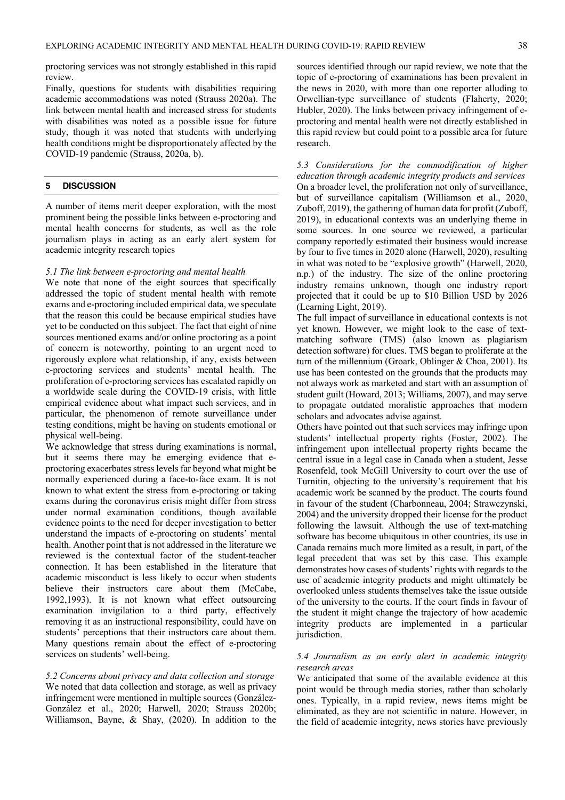proctoring services was not strongly established in this rapid review.

Finally, questions for students with disabilities requiring academic accommodations was noted (Strauss 2020a). The link between mental health and increased stress for students with disabilities was noted as a possible issue for future study, though it was noted that students with underlying health conditions might be disproportionately affected by the COVID-19 pandemic (Strauss, 2020a, b).

#### **5 DISCUSSION**

A number of items merit deeper exploration, with the most prominent being the possible links between e-proctoring and mental health concerns for students, as well as the role journalism plays in acting as an early alert system for academic integrity research topics

#### *5.1 The link between e-proctoring and mental health*

We note that none of the eight sources that specifically addressed the topic of student mental health with remote exams and e-proctoring included empirical data, we speculate that the reason this could be because empirical studies have yet to be conducted on this subject. The fact that eight of nine sources mentioned exams and/or online proctoring as a point of concern is noteworthy, pointing to an urgent need to rigorously explore what relationship, if any, exists between e-proctoring services and students' mental health. The proliferation of e-proctoring services has escalated rapidly on a worldwide scale during the COVID-19 crisis, with little empirical evidence about what impact such services, and in particular, the phenomenon of remote surveillance under testing conditions, might be having on students emotional or physical well-being.

We acknowledge that stress during examinations is normal, but it seems there may be emerging evidence that eproctoring exacerbates stress levels far beyond what might be normally experienced during a face-to-face exam. It is not known to what extent the stress from e-proctoring or taking exams during the coronavirus crisis might differ from stress under normal examination conditions, though available evidence points to the need for deeper investigation to better understand the impacts of e-proctoring on students' mental health. Another point that is not addressed in the literature we reviewed is the contextual factor of the student-teacher connection. It has been established in the literature that academic misconduct is less likely to occur when students believe their instructors care about them (McCabe, 1992,1993). It is not known what effect outsourcing examination invigilation to a third party, effectively removing it as an instructional responsibility, could have on students' perceptions that their instructors care about them. Many questions remain about the effect of e-proctoring services on students' well-being.

*5.2 Concerns about privacy and data collection and storage* We noted that data collection and storage, as well as privacy infringement were mentioned in multiple sources (González-González et al., 2020; Harwell, 2020; Strauss 2020b; Williamson, Bayne, & Shay, (2020). In addition to the

sources identified through our rapid review, we note that the topic of e-proctoring of examinations has been prevalent in the news in 2020, with more than one reporter alluding to Orwellian-type surveillance of students (Flaherty, 2020; Hubler, 2020). The links between privacy infringement of eproctoring and mental health were not directly established in this rapid review but could point to a possible area for future research.

*5.3 Considerations for the commodification of higher education through academic integrity products and services* On a broader level, the proliferation not only of surveillance, but of surveillance capitalism (Williamson et al., 2020, Zuboff, 2019), the gathering of human data for profit (Zuboff, 2019), in educational contexts was an underlying theme in some sources. In one source we reviewed, a particular company reportedly estimated their business would increase by four to five times in 2020 alone (Harwell, 2020), resulting in what was noted to be "explosive growth" (Harwell, 2020, n.p.) of the industry. The size of the online proctoring industry remains unknown, though one industry report projected that it could be up to \$10 Billion USD by 2026 (Learning Light, 2019).

The full impact of surveillance in educational contexts is not yet known. However, we might look to the case of textmatching software (TMS) (also known as plagiarism detection software) for clues. TMS began to proliferate at the turn of the millennium (Groark, Oblinger & Choa, 2001). Its use has been contested on the grounds that the products may not always work as marketed and start with an assumption of student guilt (Howard, 2013; Williams, 2007), and may serve to propagate outdated moralistic approaches that modern scholars and advocates advise against.

Others have pointed out that such services may infringe upon students' intellectual property rights (Foster, 2002). The infringement upon intellectual property rights became the central issue in a legal case in Canada when a student, Jesse Rosenfeld, took McGill University to court over the use of Turnitin, objecting to the university's requirement that his academic work be scanned by the product. The courts found in favour of the student (Charbonneau, 2004; Strawczynski, 2004) and the university dropped their license for the product following the lawsuit. Although the use of text-matching software has become ubiquitous in other countries, its use in Canada remains much more limited as a result, in part, of the legal precedent that was set by this case. This example demonstrates how cases of students' rights with regards to the use of academic integrity products and might ultimately be overlooked unless students themselves take the issue outside of the university to the courts. If the court finds in favour of the student it might change the trajectory of how academic integrity products are implemented in a particular jurisdiction.

#### *5.4 Journalism as an early alert in academic integrity research areas*

We anticipated that some of the available evidence at this point would be through media stories, rather than scholarly ones. Typically, in a rapid review, news items might be eliminated, as they are not scientific in nature. However, in the field of academic integrity, news stories have previously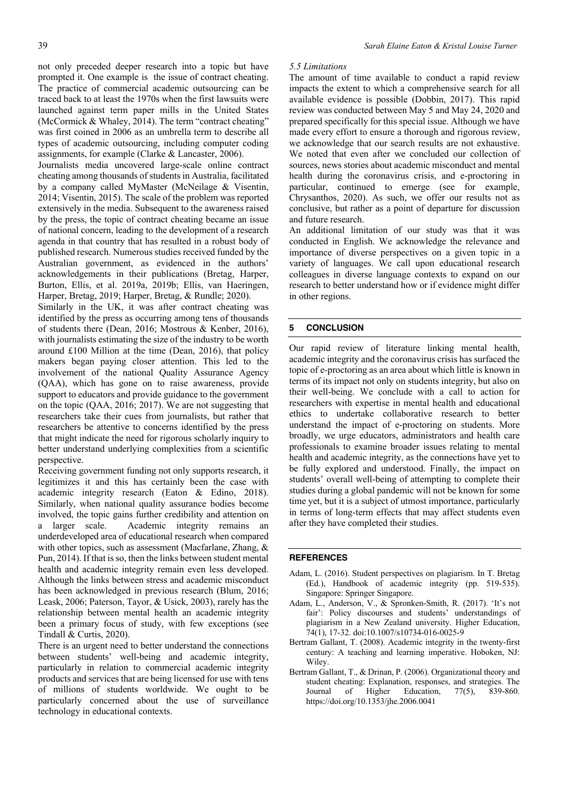not only preceded deeper research into a topic but have prompted it. One example is the issue of contract cheating. The practice of commercial academic outsourcing can be traced back to at least the 1970s when the first lawsuits were launched against term paper mills in the United States (McCormick & Whaley, 2014). The term "contract cheating" was first coined in 2006 as an umbrella term to describe all types of academic outsourcing, including computer coding assignments, for example (Clarke & Lancaster, 2006).

Journalists media uncovered large-scale online contract cheating among thousands of students in Australia, facilitated by a company called MyMaster (McNeilage & Visentin, 2014; Visentin, 2015). The scale of the problem was reported extensively in the media. Subsequent to the awareness raised by the press, the topic of contract cheating became an issue of national concern, leading to the development of a research agenda in that country that has resulted in a robust body of published research. Numerous studies received funded by the Australian government, as evidenced in the authors' acknowledgements in their publications (Bretag, Harper, Burton, Ellis, et al. 2019a, 2019b; Ellis, van Haeringen, Harper, Bretag, 2019; Harper, Bretag, & Rundle; 2020).

Similarly in the UK, it was after contract cheating was identified by the press as occurring among tens of thousands of students there (Dean, 2016; Mostrous & Kenber, 2016), with journalists estimating the size of the industry to be worth around £100 Million at the time (Dean, 2016), that policy makers began paying closer attention. This led to the involvement of the national Quality Assurance Agency (QAA), which has gone on to raise awareness, provide support to educators and provide guidance to the government on the topic (QAA, 2016; 2017). We are not suggesting that researchers take their cues from journalists, but rather that researchers be attentive to concerns identified by the press that might indicate the need for rigorous scholarly inquiry to better understand underlying complexities from a scientific perspective.

Receiving government funding not only supports research, it legitimizes it and this has certainly been the case with academic integrity research (Eaton & Edino, 2018). Similarly, when national quality assurance bodies become involved, the topic gains further credibility and attention on a larger scale. Academic integrity remains an underdeveloped area of educational research when compared with other topics, such as assessment (Macfarlane, Zhang, & Pun, 2014). If that is so, then the links between student mental health and academic integrity remain even less developed. Although the links between stress and academic misconduct has been acknowledged in previous research (Blum, 2016; Leask, 2006; Paterson, Tayor, & Usick, 2003), rarely has the relationship between mental health an academic integrity been a primary focus of study, with few exceptions (see Tindall & Curtis, 2020).

There is an urgent need to better understand the connections between students' well-being and academic integrity, particularly in relation to commercial academic integrity products and services that are being licensed for use with tens of millions of students worldwide. We ought to be particularly concerned about the use of surveillance technology in educational contexts.

#### *5.5 Limitations*

The amount of time available to conduct a rapid review impacts the extent to which a comprehensive search for all available evidence is possible (Dobbin, 2017). This rapid review was conducted between May 5 and May 24, 2020 and prepared specifically for this special issue. Although we have made every effort to ensure a thorough and rigorous review, we acknowledge that our search results are not exhaustive. We noted that even after we concluded our collection of sources, news stories about academic misconduct and mental health during the coronavirus crisis, and e-proctoring in particular, continued to emerge (see for example, Chrysanthos, 2020). As such, we offer our results not as conclusive, but rather as a point of departure for discussion and future research.

An additional limitation of our study was that it was conducted in English. We acknowledge the relevance and importance of diverse perspectives on a given topic in a variety of languages. We call upon educational research colleagues in diverse language contexts to expand on our research to better understand how or if evidence might differ in other regions.

#### **5 CONCLUSION**

Our rapid review of literature linking mental health, academic integrity and the coronavirus crisis has surfaced the topic of e-proctoring as an area about which little is known in terms of its impact not only on students integrity, but also on their well-being. We conclude with a call to action for researchers with expertise in mental health and educational ethics to undertake collaborative research to better understand the impact of e-proctoring on students. More broadly, we urge educators, administrators and health care professionals to examine broader issues relating to mental health and academic integrity, as the connections have yet to be fully explored and understood. Finally, the impact on students' overall well-being of attempting to complete their studies during a global pandemic will not be known for some time yet, but it is a subject of utmost importance, particularly in terms of long-term effects that may affect students even after they have completed their studies.

#### **REFERENCES**

- Adam, L. (2016). Student perspectives on plagiarism. In T. Bretag (Ed.), Handbook of academic integrity (pp. 519-535). Singapore: Springer Singapore.
- Adam, L., Anderson, V., & Spronken-Smith, R. (2017). 'It's not fair': Policy discourses and students' understandings of plagiarism in a New Zealand university. Higher Education, 74(1), 17-32. doi:10.1007/s10734-016-0025-9
- Bertram Gallant, T. (2008). Academic integrity in the twenty-first century: A teaching and learning imperative. Hoboken, NJ: Wiley.
- Bertram Gallant, T., & Drinan, P. (2006). Organizational theory and student cheating: Explanation, responses, and strategies. The Journal of Higher Education, 77(5), 839-860. https://doi.org/10.1353/jhe.2006.0041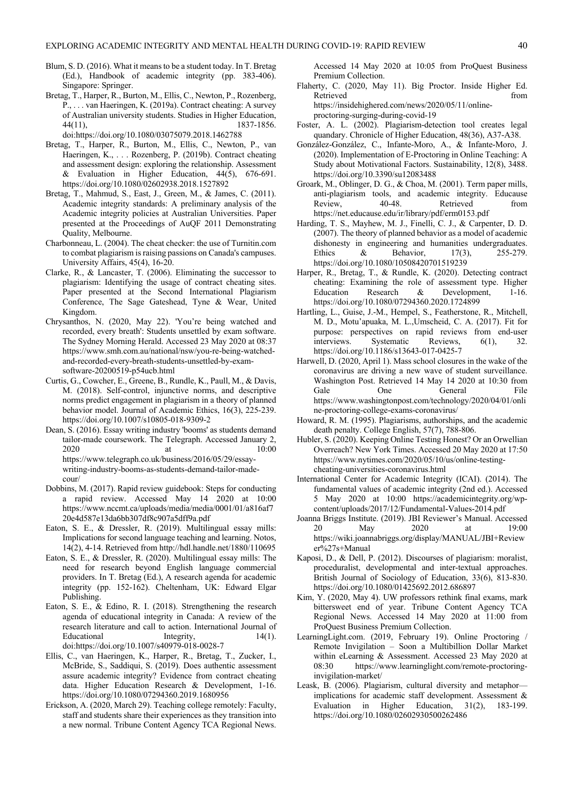- Blum, S. D. (2016). What it means to be a student today. In T. Bretag (Ed.), Handbook of academic integrity (pp. 383-406). Singapore: Springer.
- Bretag, T., Harper, R., Burton, M., Ellis, C., Newton, P., Rozenberg, P., . . . van Haeringen, K. (2019a). Contract cheating: A survey of Australian university students. Studies in Higher Education, 44(11), 1837-1856.

doi:https://doi.org/10.1080/03075079.2018.1462788

- Bretag, T., Harper, R., Burton, M., Ellis, C., Newton, P., van Haeringen, K., . . . Rozenberg, P. (2019b). Contract cheating and assessment design: exploring the relationship. Assessment & Evaluation in Higher Education,  $44(5)$ ,  $676-691$ . https://doi.org/10.1080/02602938.2018.1527892
- Bretag, T., Mahmud, S., East, J., Green, M., & James, C. (2011). Academic integrity standards: A preliminary analysis of the Academic integrity policies at Australian Universities. Paper presented at the Proceedings of AuQF 2011 Demonstrating Quality, Melbourne.
- Charbonneau, L. (2004). The cheat checker: the use of Turnitin.com to combat plagiarism is raising passions on Canada's campuses. University Affairs, 45(4), 16-20.
- Clarke, R., & Lancaster, T. (2006). Eliminating the successor to plagiarism: Identifying the usage of contract cheating sites. Paper presented at the Second International Plagiarism Conference, The Sage Gateshead, Tyne & Wear, United Kingdom.
- Chrysanthos, N. (2020, May 22). 'You're being watched and recorded, every breath': Students unsettled by exam software. The Sydney Morning Herald. Accessed 23 May 2020 at 08:37 https://www.smh.com.au/national/nsw/you-re-being-watchedand-recorded-every-breath-students-unsettled-by-examsoftware-20200519-p54ucb.html
- Curtis, G., Cowcher, E., Greene, B., Rundle, K., Paull, M., & Davis, M. (2018). Self-control, injunctive norms, and descriptive norms predict engagement in plagiarism in a theory of planned behavior model. Journal of Academic Ethics, 16(3), 225-239. https://doi.org/10.1007/s10805-018-9309-2
- Dean, S. (2016). Essay writing industry 'booms' as students demand tailor-made coursework. The Telegraph. Accessed January 2, 2020 at 10:00 https://www.telegraph.co.uk/business/2016/05/29/essaywriting-industry-booms-as-students-demand-tailor-madecour/
- Dobbins, M. (2017). Rapid review guidebook: Steps for conducting a rapid review. Accessed May 14 2020 at 10:00 https://www.nccmt.ca/uploads/media/media/0001/01/a816af7 20e4d587e13da6bb307df8c907a5dff9a.pdf
- Eaton, S. E., & Dressler, R. (2019). Multilingual essay mills: Implications for second language teaching and learning. Notos, 14(2), 4-14. Retrieved from http://hdl.handle.net/1880/110695
- Eaton, S. E., & Dressler, R. (2020). Multilingual essay mills: The need for research beyond English language commercial providers. In T. Bretag (Ed.), A research agenda for academic integrity (pp. 152-162). Cheltenham, UK: Edward Elgar Publishing.
- Eaton, S. E., & Edino, R. I. (2018). Strengthening the research agenda of educational integrity in Canada: A review of the research literature and call to action. International Journal of Educational Integrity, 14(1). doi:https://doi.org/10.1007/s40979-018-0028-7
- Ellis, C., van Haeringen, K., Harper, R., Bretag, T., Zucker, I., McBride, S., Saddiqui, S. (2019). Does authentic assessment assure academic integrity? Evidence from contract cheating data. Higher Education Research & Development, 1-16. https://doi.org/10.1080/07294360.2019.1680956
- Erickson, A. (2020, March 29). Teaching college remotely: Faculty, staff and students share their experiences as they transition into a new normal. Tribune Content Agency TCA Regional News.

Accessed 14 May 2020 at 10:05 from ProQuest Business Premium Collection.

Flaherty, C. (2020, May 11). Big Proctor. Inside Higher Ed. Retrieved from the state of the state of the state of the state of the state of the state of the state of the state of the state of the state of the state of the state of the state of the state of the state of the state of https://insidehighered.com/news/2020/05/11/online-

proctoring-surging-during-covid-19

- Foster, A. L. (2002). Plagiarism-detection tool creates legal quandary. Chronicle of Higher Education, 48(36), A37-A38.
- González-González, C., Infante-Moro, A., & Infante-Moro, J. (2020). Implementation of E-Proctoring in Online Teaching: A Study about Motivational Factors. Sustainability, 12(8), 3488. https://doi.org/10.3390/su12083488
- Groark, M., Oblinger, D. G., & Choa, M. (2001). Term paper mills, anti-plagiarism tools, and academic integrity. Educause Review, 40-48. Retrieved from https://net.educause.edu/ir/library/pdf/erm0153.pdf
- Harding, T. S., Mayhew, M. J., Finelli, C. J., & Carpenter, D. D. (2007). The theory of planned behavior as a model of academic dishonesty in engineering and humanities undergraduates. Ethics & Behavior, 17(3), 255-279. https://doi.org/10.1080/10508420701519239
- Harper, R., Bretag, T., & Rundle, K. (2020). Detecting contract cheating: Examining the role of assessment type. Higher Education Research & Development, 1-16. https://doi.org/10.1080/07294360.2020.1724899
- Hartling, L., Guise, J.-M., Hempel, S., Featherstone, R., Mitchell, M. D., Motu'apuaka, M. L.,Umscheid, C. A. (2017). Fit for purpose: perspectives on rapid reviews from end-user interviews. Systematic Reviews, 6(1), 32. https://doi.org/10.1186/s13643-017-0425-7
- Harwell, D. (2020, April 1). Mass school closures in the wake of the coronavirus are driving a new wave of student surveillance. Washington Post. Retrieved 14 May 14 2020 at 10:30 from Gale One General File https://www.washingtonpost.com/technology/2020/04/01/onli ne-proctoring-college-exams-coronavirus/
- Howard, R. M. (1995). Plagiarisms, authorships, and the academic death penalty. College English, 57(7), 788-806.
- Hubler, S. (2020). Keeping Online Testing Honest? Or an Orwellian Overreach? New York Times. Accessed 20 May 2020 at 17:50 https://www.nytimes.com/2020/05/10/us/online-testingcheating-universities-coronavirus.html
- International Center for Academic Integrity (ICAI). (2014). The fundamental values of academic integrity (2nd ed.). Accessed 5 May 2020 at 10:00 https://academicintegrity.org/wpcontent/uploads/2017/12/Fundamental-Values-2014.pdf
- Joanna Briggs Institute. (2019). JBI Reviewer's Manual. Accessed 20 May 2020 at 19:00 https://wiki.joannabriggs.org/display/MANUAL/JBI+Review er%27s+Manual
- Kaposi, D., & Dell, P. (2012). Discourses of plagiarism: moralist, proceduralist, developmental and inter-textual approaches. British Journal of Sociology of Education, 33(6), 813-830. https://doi.org/10.1080/01425692.2012.686897
- Kim, Y. (2020, May 4). UW professors rethink final exams, mark bittersweet end of year. Tribune Content Agency TCA Regional News. Accessed 14 May 2020 at 11:00 from ProQuest Business Premium Collection.
- LearningLight.com. (2019, February 19). Online Proctoring / Remote Invigilation – Soon a Multibillion Dollar Market within eLearning & Assessment. Accessed 23 May 2020 at 08:30 https://www.learninglight.com/remote-proctoringinvigilation-market/
- Leask, B. (2006). Plagiarism, cultural diversity and metaphor implications for academic staff development. Assessment & Evaluation in Higher Education, 31(2), 183-199. https://doi.org/10.1080/02602930500262486